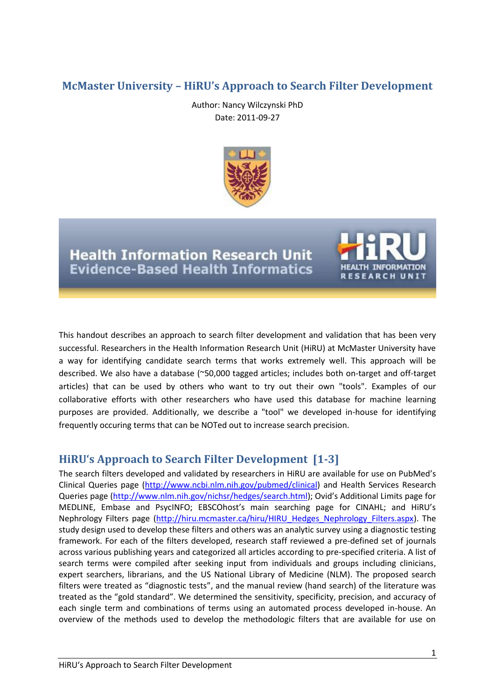# **McMaster University – HiRU's Approach to Search Filter Development**

Author: Nancy Wilczynski PhD Date: 2011-09-27



**Health Information Research Unit Evidence-Based Health Informatics** 



This handout describes an approach to search filter development and validation that has been very successful. Researchers in the Health Information Research Unit (HiRU) at McMaster University have a way for identifying candidate search terms that works extremely well. This approach will be described. We also have a database (~50,000 tagged articles; includes both on-target and off-target articles) that can be used by others who want to try out their own "tools". Examples of our collaborative efforts with other researchers who have used this database for machine learning purposes are provided. Additionally, we describe a "tool" we developed in-house for identifying frequently occuring terms that can be NOTed out to increase search precision.

# **HiRU's Approach to Search Filter Development [\[1-3\]](#page-6-0)**

The search filters developed and validated by researchers in HiRU are available for use on PubMed's Clinical Queries page [\(http://www.ncbi.nlm.nih.gov/pubmed/clinical\)](http://www.ncbi.nlm.nih.gov/pubmed/clinical) and Health Services Research Queries page [\(http://www.nlm.nih.gov/nichsr/hedges/search.html\)](http://www.nlm.nih.gov/nichsr/hedges/search.html); Ovid's Additional Limits page for MEDLINE, Embase and PsycINFO; EBSCOhost's main searching page for CINAHL; and HiRU's Nephrology Filters page [\(http://hiru.mcmaster.ca/hiru/HIRU\\_Hedges\\_Nephrology\\_Filters.aspx\)](http://hiru.mcmaster.ca/hiru/HIRU_Hedges_Nephrology_Filters.aspx). The study design used to develop these filters and others was an analytic survey using a diagnostic testing framework. For each of the filters developed, research staff reviewed a pre-defined set of journals across various publishing years and categorized all articles according to pre-specified criteria. A list of search terms were compiled after seeking input from individuals and groups including clinicians, expert searchers, librarians, and the US National Library of Medicine (NLM). The proposed search filters were treated as "diagnostic tests", and the manual review (hand search) of the literature was treated as the "gold standard". We determined the sensitivity, specificity, precision, and accuracy of each single term and combinations of terms using an automated process developed in-house. An overview of the methods used to develop the methodologic filters that are available for use on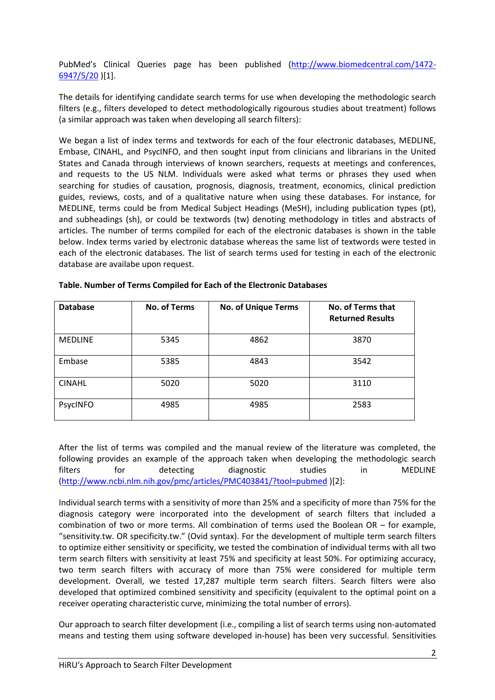PubMed's Clinical Queries page has been published [\(http://www.biomedcentral.com/1472-](http://www.biomedcentral.com/1472-6947/5/20) [6947/5/20](http://www.biomedcentral.com/1472-6947/5/20) )[1].

The details for identifying candidate search terms for use when developing the methodologic search filters (e.g., filters developed to detect methodologically rigourous studies about treatment) follows (a similar approach was taken when developing all search filters):

We began a list of index terms and textwords for each of the four electronic databases, MEDLINE, Embase, CINAHL, and PsycINFO, and then sought input from clinicians and librarians in the United States and Canada through interviews of known searchers, requests at meetings and conferences, and requests to the US NLM. Individuals were asked what terms or phrases they used when searching for studies of causation, prognosis, diagnosis, treatment, economics, clinical prediction guides, reviews, costs, and of a qualitative nature when using these databases. For instance, for MEDLINE, terms could be from Medical Subject Headings (MeSH), including publication types (pt), and subheadings (sh), or could be textwords (tw) denoting methodology in titles and abstracts of articles. The number of terms compiled for each of the electronic databases is shown in the table below. Index terms varied by electronic database whereas the same list of textwords were tested in each of the electronic databases. The list of search terms used for testing in each of the electronic database are availabe upon request.

| <b>Database</b> | <b>No. of Terms</b> | <b>No. of Unique Terms</b> | No. of Terms that<br><b>Returned Results</b> |
|-----------------|---------------------|----------------------------|----------------------------------------------|
| <b>MEDLINE</b>  | 5345                | 4862                       | 3870                                         |
| Embase          | 5385                | 4843                       | 3542                                         |
| <b>CINAHL</b>   | 5020                | 5020                       | 3110                                         |
| PsycINFO        | 4985                | 4985                       | 2583                                         |

After the list of terms was compiled and the manual review of the literature was completed, the following provides an example of the approach taken when developing the methodologic search filters for detecting diagnostic studies in MEDLINE [\(http://www.ncbi.nlm.nih.gov/pmc/articles/PMC403841/?tool=pubmed](http://www.ncbi.nlm.nih.gov/pmc/articles/PMC403841/?tool=pubmed) )[2]:

Individual search terms with a sensitivity of more than 25% and a specificity of more than 75% for the diagnosis category were incorporated into the development of search filters that included a combination of two or more terms. All combination of terms used the Boolean OR – for example, "sensitivity.tw. OR specificity.tw." (Ovid syntax). For the development of multiple term search filters to optimize either sensitivity or specificity, we tested the combination of individual terms with all two term search filters with sensitivity at least 75% and specificity at least 50%. For optimizing accuracy, two term search filters with accuracy of more than 75% were considered for multiple term development. Overall, we tested 17,287 multiple term search filters. Search filters were also developed that optimized combined sensitivity and specificity (equivalent to the optimal point on a receiver operating characteristic curve, minimizing the total number of errors).

Our approach to search filter development (i.e., compiling a list of search terms using non-automated means and testing them using software developed in-house) has been very successful. Sensitivities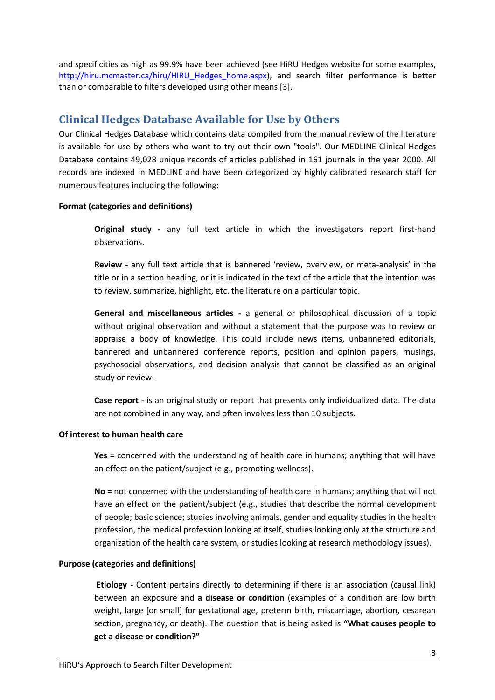and specificities as high as 99.9% have been achieved (see HiRU Hedges website for some examples, [http://hiru.mcmaster.ca/hiru/HIRU\\_Hedges\\_home.aspx\)](http://hiru.mcmaster.ca/hiru/HIRU_Hedges_home.aspx), and search filter performance is better than or comparable to filters developed using other means [3].

## **Clinical Hedges Database Available for Use by Others**

Our Clinical Hedges Database which contains data compiled from the manual review of the literature is available for use by others who want to try out their own "tools". Our MEDLINE Clinical Hedges Database contains 49,028 unique records of articles published in 161 journals in the year 2000. All records are indexed in MEDLINE and have been categorized by highly calibrated research staff for numerous features including the following:

### **Format (categories and definitions)**

**Original study -** any full text article in which the investigators report first-hand observations.

**Review -** any full text article that is bannered 'review, overview, or meta-analysis' in the title or in a section heading, or it is indicated in the text of the article that the intention was to review, summarize, highlight, etc. the literature on a particular topic.

**General and miscellaneous articles -** a general or philosophical discussion of a topic without original observation and without a statement that the purpose was to review or appraise a body of knowledge. This could include news items, unbannered editorials, bannered and unbannered conference reports, position and opinion papers, musings, psychosocial observations, and decision analysis that cannot be classified as an original study or review.

**Case report** - is an original study or report that presents only individualized data. The data are not combined in any way, and often involves less than 10 subjects.

### **Of interest to human health care**

**Yes =** concerned with the understanding of health care in humans; anything that will have an effect on the patient/subject (e.g., promoting wellness).

**No =** not concerned with the understanding of health care in humans; anything that will not have an effect on the patient/subject (e.g., studies that describe the normal development of people; basic science; studies involving animals, gender and equality studies in the health profession, the medical profession looking at itself, studies looking only at the structure and organization of the health care system, or studies looking at research methodology issues).

### **Purpose (categories and definitions)**

**Etiology -** Content pertains directly to determining if there is an association (causal link) between an exposure and **a disease or condition** (examples of a condition are low birth weight, large [or small] for gestational age, preterm birth, miscarriage, abortion, cesarean section, pregnancy, or death). The question that is being asked is **"What causes people to get a disease or condition?"**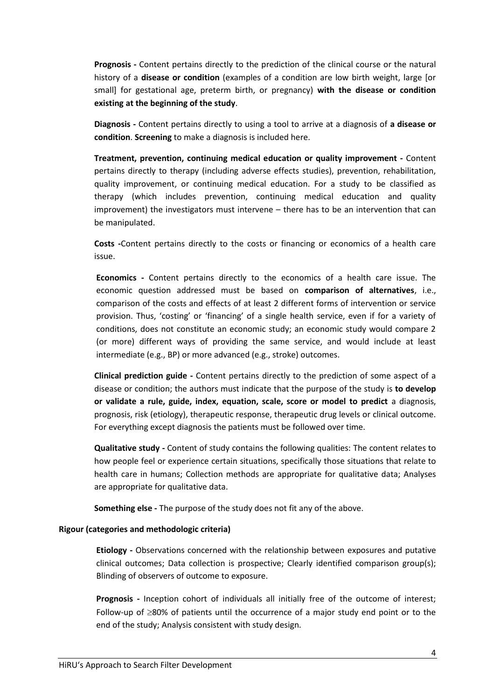**Prognosis -** Content pertains directly to the prediction of the clinical course or the natural history of a **disease or condition** (examples of a condition are low birth weight, large [or small] for gestational age, preterm birth, or pregnancy) **with the disease or condition existing at the beginning of the study**.

**Diagnosis -** Content pertains directly to using a tool to arrive at a diagnosis of **a disease or condition**. **Screening** to make a diagnosis is included here.

**Treatment, prevention, continuing medical education or quality improvement -** Content pertains directly to therapy (including adverse effects studies), prevention, rehabilitation, quality improvement, or continuing medical education. For a study to be classified as therapy (which includes prevention, continuing medical education and quality improvement) the investigators must intervene – there has to be an intervention that can be manipulated.

**Costs -**Content pertains directly to the costs or financing or economics of a health care issue.

**Economics -** Content pertains directly to the economics of a health care issue. The economic question addressed must be based on **comparison of alternatives**, i.e., comparison of the costs and effects of at least 2 different forms of intervention or service provision. Thus, 'costing' or 'financing' of a single health service, even if for a variety of conditions, does not constitute an economic study; an economic study would compare 2 (or more) different ways of providing the same service, and would include at least intermediate (e.g., BP) or more advanced (e.g., stroke) outcomes.

**Clinical prediction guide -** Content pertains directly to the prediction of some aspect of a disease or condition; the authors must indicate that the purpose of the study is **to develop or validate a rule, guide, index, equation, scale, score or model to predict** a diagnosis, prognosis, risk (etiology), therapeutic response, therapeutic drug levels or clinical outcome. For everything except diagnosis the patients must be followed over time.

**Qualitative study -** Content of study contains the following qualities: The content relates to how people feel or experience certain situations, specifically those situations that relate to health care in humans; Collection methods are appropriate for qualitative data; Analyses are appropriate for qualitative data.

**Something else -** The purpose of the study does not fit any of the above.

#### **Rigour (categories and methodologic criteria)**

**Etiology -** Observations concerned with the relationship between exposures and putative clinical outcomes; Data collection is prospective; Clearly identified comparison group(s); Blinding of observers of outcome to exposure.

**Prognosis -** Inception cohort of individuals all initially free of the outcome of interest; Follow-up of  $\geq$ 80% of patients until the occurrence of a major study end point or to the end of the study; Analysis consistent with study design.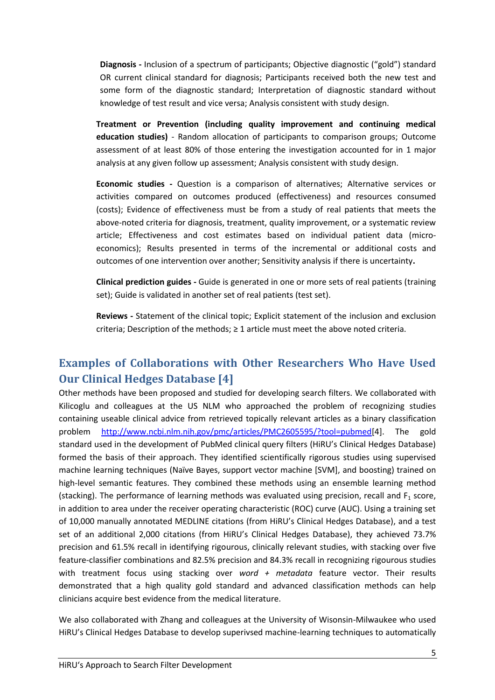**Diagnosis -** Inclusion of a spectrum of participants; Objective diagnostic ("gold") standard OR current clinical standard for diagnosis; Participants received both the new test and some form of the diagnostic standard; Interpretation of diagnostic standard without knowledge of test result and vice versa; Analysis consistent with study design.

**Treatment or Prevention (including quality improvement and continuing medical education studies)** - Random allocation of participants to comparison groups; Outcome assessment of at least 80% of those entering the investigation accounted for in 1 major analysis at any given follow up assessment; Analysis consistent with study design.

**Economic studies -** Question is a comparison of alternatives; Alternative services or activities compared on outcomes produced (effectiveness) and resources consumed (costs); Evidence of effectiveness must be from a study of real patients that meets the above-noted criteria for diagnosis, treatment, quality improvement, or a systematic review article; Effectiveness and cost estimates based on individual patient data (microeconomics); Results presented in terms of the incremental or additional costs and outcomes of one intervention over another; Sensitivity analysis if there is uncertainty**.**

**Clinical prediction guides -** Guide is generated in one or more sets of real patients (training set); Guide is validated in another set of real patients (test set).

**Reviews -** Statement of the clinical topic; Explicit statement of the inclusion and exclusion criteria; Description of the methods;  $\geq 1$  article must meet the above noted criteria.

# **Examples of Collaborations with Other Researchers Who Have Used Our Clinical Hedges Database [4]**

Other methods have been proposed and studied for developing search filters. We collaborated with Kilicoglu and colleagues at the US NLM who approached the problem of recognizing studies containing useable clinical advice from retrieved topically relevant articles as a binary classification problem [http://www.ncbi.nlm.nih.gov/pmc/articles/PMC2605595/?tool=pubmed\[](http://www.ncbi.nlm.nih.gov/pmc/articles/PMC2605595/?tool=pubmed)4]. The gold standard used in the development of PubMed clinical query filters (HiRU's Clinical Hedges Database) formed the basis of their approach. They identified scientifically rigorous studies using supervised machine learning techniques (Naïve Bayes, support vector machine [SVM], and boosting) trained on high-level semantic features. They combined these methods using an ensemble learning method (stacking). The performance of learning methods was evaluated using precision, recall and  $F_1$  score, in addition to area under the receiver operating characteristic (ROC) curve (AUC). Using a training set of 10,000 manually annotated MEDLINE citations (from HiRU's Clinical Hedges Database), and a test set of an additional 2,000 citations (from HiRU's Clinical Hedges Database), they achieved 73.7% precision and 61.5% recall in identifying rigourous, clinically relevant studies, with stacking over five feature-classifier combinations and 82.5% precision and 84.3% recall in recognizing rigourous studies with treatment focus using stacking over *word + metadata* feature vector. Their results demonstrated that a high quality gold standard and advanced classification methods can help clinicians acquire best evidence from the medical literature.

We also collaborated with Zhang and colleagues at the University of Wisonsin-Milwaukee who used HiRU's Clinical Hedges Database to develop superivsed machine-learning techniques to automatically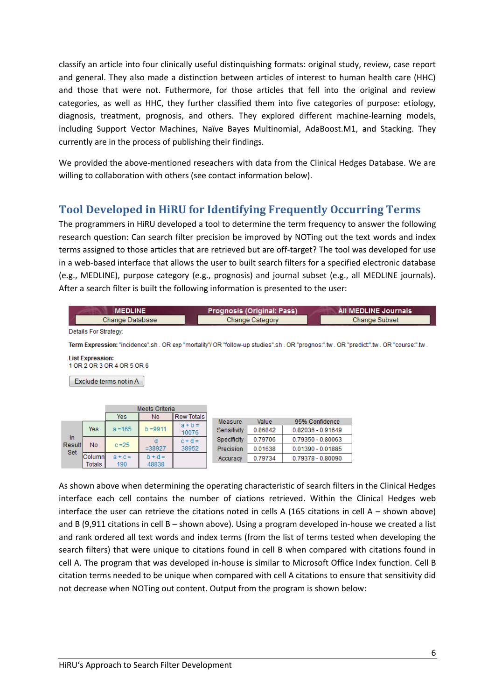classify an article into four clinically useful distinquishing formats: original study, review, case report and general. They also made a distinction between articles of interest to human health care (HHC) and those that were not. Futhermore, for those articles that fell into the original and review categories, as well as HHC, they further classified them into five categories of purpose: etiology, diagnosis, treatment, prognosis, and others. They explored different machine-learning models, including Support Vector Machines, Naïve Bayes Multinomial, AdaBoost.M1, and Stacking. They currently are in the process of publishing their findings.

We provided the above-mentioned reseachers with data from the Clinical Hedges Database. We are willing to collaboration with others (see contact information below).

# **Tool Developed in HiRU for Identifying Frequently Occurring Terms**

The programmers in HiRU developed a tool to determine the term frequency to answer the following research question: Can search filter precision be improved by NOTing out the text words and index terms assigned to those articles that are retrieved but are off-target? The tool was developed for use in a web-based interface that allows the user to built search filters for a specified electronic database (e.g., MEDLINE), purpose category (e.g., prognosis) and journal subset (e.g., all MEDLINE journals). After a search filter is built the following information is presented to the user:

|                 | <b>Prognosis (Original: Pass)</b> | All MEDLINE Journals |
|-----------------|-----------------------------------|----------------------|
| Change Database | Change Category                   | Change Subset        |

Details For Strategy:

Term Expression: "incidence".sh . OR exp "mortality"/ OR "follow-up studies".sh . OR "prognos:".tw . OR "predict:".tw . OR "course:".tw .

**List Expression:** 1 OR 2 OR 3 OR 4 OR 5 OR 6

Exclude terms not in A

|               |          |           | Meets Criteria |                   |             |         |                     |
|---------------|----------|-----------|----------------|-------------------|-------------|---------|---------------------|
|               |          | Yes       | No             | <b>Row Totals</b> |             |         |                     |
|               |          |           |                | $a + b =$         | Measure     | Value   | 95% Confidence      |
|               | Yes      | $a = 165$ | $b = 9911$     | 10076             | Sensitivity | 0.86842 | $0.82036 - 0.91649$ |
| In            |          |           |                | $c + d =$         | Specificity | 0.79706 | $0.79350 - 0.80063$ |
| Result<br>Set | No       | $c = 25$  | $= 38927$      | 38952             | Precision   | 0.01638 | $0.01390 - 0.01885$ |
|               | Columni  | $a + c =$ | $b + d =$      |                   | Accuracy    | 0.79734 | 0.79378 - 0.80090   |
|               | Totals I | 190       | 48838          |                   |             |         |                     |

As shown above when determining the operating characteristic of search filters in the Clinical Hedges interface each cell contains the number of ciations retrieved. Within the Clinical Hedges web interface the user can retrieve the citations noted in cells A (165 citations in cell A – shown above) and B (9,911 citations in cell B – shown above). Using a program developed in-house we created a list and rank ordered all text words and index terms (from the list of terms tested when developing the search filters) that were unique to citations found in cell B when compared with citations found in cell A. The program that was developed in-house is similar to Microsoft Office Index function. Cell B citation terms needed to be unique when compared with cell A citations to ensure that sensitivity did not decrease when NOTing out content. Output from the program is shown below: